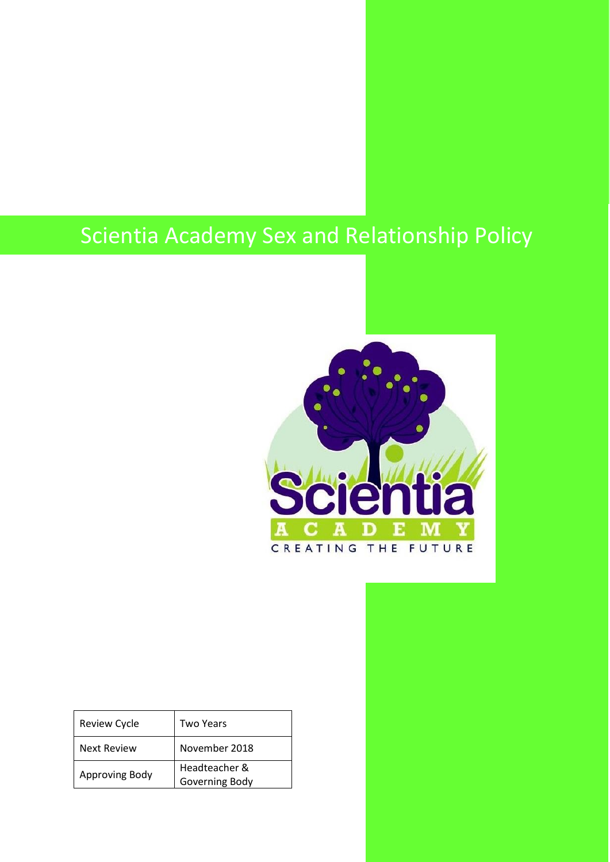# Scientia Academy Sex and Relationship Policy



| <b>Review Cycle</b> | Two Years      |
|---------------------|----------------|
| Next Review         | November 2018  |
| Approving Body      | Headteacher &  |
|                     | Governing Body |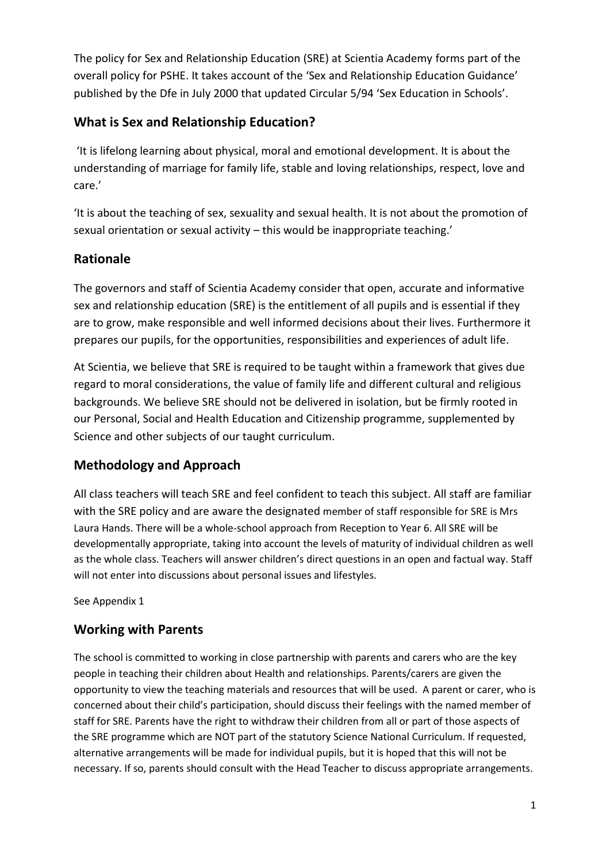The policy for Sex and Relationship Education (SRE) at Scientia Academy forms part of the overall policy for PSHE. It takes account of the 'Sex and Relationship Education Guidance' published by the Dfe in July 2000 that updated Circular 5/94 'Sex Education in Schools'.

# **What is Sex and Relationship Education?**

'It is lifelong learning about physical, moral and emotional development. It is about the understanding of marriage for family life, stable and loving relationships, respect, love and care.'

'It is about the teaching of sex, sexuality and sexual health. It is not about the promotion of sexual orientation or sexual activity – this would be inappropriate teaching.'

# **Rationale**

The governors and staff of Scientia Academy consider that open, accurate and informative sex and relationship education (SRE) is the entitlement of all pupils and is essential if they are to grow, make responsible and well informed decisions about their lives. Furthermore it prepares our pupils, for the opportunities, responsibilities and experiences of adult life.

At Scientia, we believe that SRE is required to be taught within a framework that gives due regard to moral considerations, the value of family life and different cultural and religious backgrounds. We believe SRE should not be delivered in isolation, but be firmly rooted in our Personal, Social and Health Education and Citizenship programme, supplemented by Science and other subjects of our taught curriculum.

## **Methodology and Approach**

All class teachers will teach SRE and feel confident to teach this subject. All staff are familiar with the SRE policy and are aware the designated member of staff responsible for SRE is Mrs Laura Hands. There will be a whole-school approach from Reception to Year 6. All SRE will be developmentally appropriate, taking into account the levels of maturity of individual children as well as the whole class. Teachers will answer children's direct questions in an open and factual way. Staff will not enter into discussions about personal issues and lifestyles.

See Appendix 1

## **Working with Parents**

The school is committed to working in close partnership with parents and carers who are the key people in teaching their children about Health and relationships. Parents/carers are given the opportunity to view the teaching materials and resources that will be used. A parent or carer, who is concerned about their child's participation, should discuss their feelings with the named member of staff for SRE. Parents have the right to withdraw their children from all or part of those aspects of the SRE programme which are NOT part of the statutory Science National Curriculum. If requested, alternative arrangements will be made for individual pupils, but it is hoped that this will not be necessary. If so, parents should consult with the Head Teacher to discuss appropriate arrangements.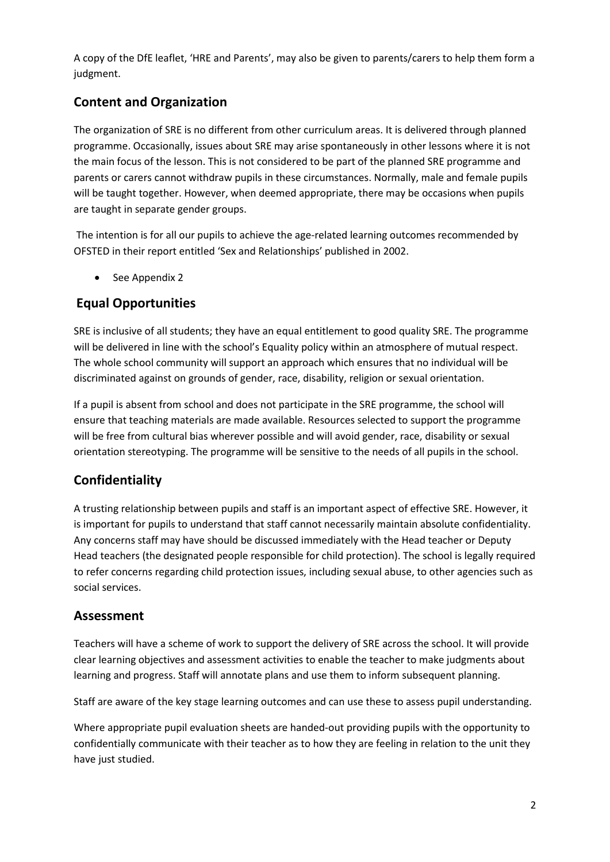A copy of the DfE leaflet, 'HRE and Parents', may also be given to parents/carers to help them form a judgment.

# **Content and Organization**

The organization of SRE is no different from other curriculum areas. It is delivered through planned programme. Occasionally, issues about SRE may arise spontaneously in other lessons where it is not the main focus of the lesson. This is not considered to be part of the planned SRE programme and parents or carers cannot withdraw pupils in these circumstances. Normally, male and female pupils will be taught together. However, when deemed appropriate, there may be occasions when pupils are taught in separate gender groups.

The intention is for all our pupils to achieve the age-related learning outcomes recommended by OFSTED in their report entitled 'Sex and Relationships' published in 2002.

• See Appendix 2

# **Equal Opportunities**

SRE is inclusive of all students; they have an equal entitlement to good quality SRE. The programme will be delivered in line with the school's Equality policy within an atmosphere of mutual respect. The whole school community will support an approach which ensures that no individual will be discriminated against on grounds of gender, race, disability, religion or sexual orientation.

If a pupil is absent from school and does not participate in the SRE programme, the school will ensure that teaching materials are made available. Resources selected to support the programme will be free from cultural bias wherever possible and will avoid gender, race, disability or sexual orientation stereotyping. The programme will be sensitive to the needs of all pupils in the school.

# **Confidentiality**

A trusting relationship between pupils and staff is an important aspect of effective SRE. However, it is important for pupils to understand that staff cannot necessarily maintain absolute confidentiality. Any concerns staff may have should be discussed immediately with the Head teacher or Deputy Head teachers (the designated people responsible for child protection). The school is legally required to refer concerns regarding child protection issues, including sexual abuse, to other agencies such as social services.

## **Assessment**

Teachers will have a scheme of work to support the delivery of SRE across the school. It will provide clear learning objectives and assessment activities to enable the teacher to make judgments about learning and progress. Staff will annotate plans and use them to inform subsequent planning.

Staff are aware of the key stage learning outcomes and can use these to assess pupil understanding.

Where appropriate pupil evaluation sheets are handed-out providing pupils with the opportunity to confidentially communicate with their teacher as to how they are feeling in relation to the unit they have just studied.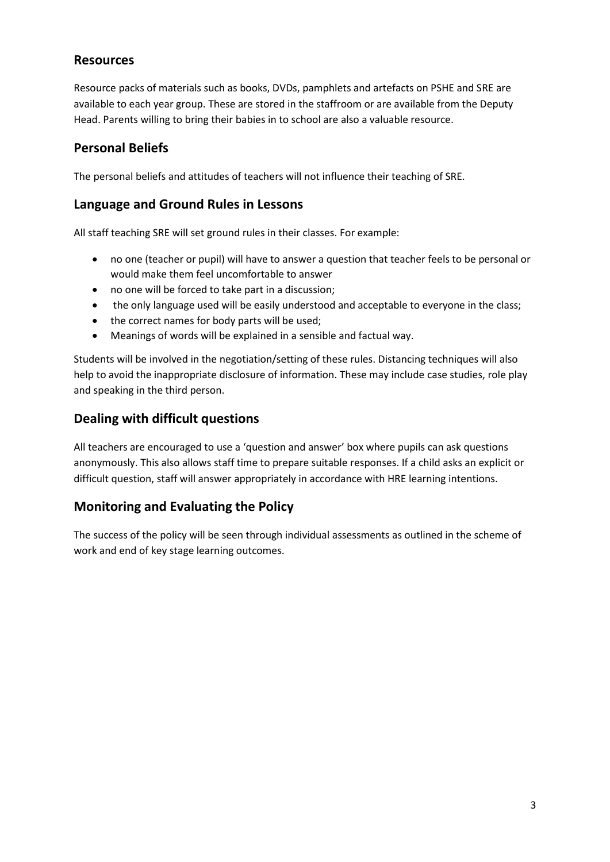#### **Resources**

Resource packs of materials such as books, DVDs, pamphlets and artefacts on PSHE and SRE are available to each year group. These are stored in the staffroom or are available from the Deputy Head. Parents willing to bring their babies in to school are also a valuable resource.

## **Personal Beliefs**

The personal beliefs and attitudes of teachers will not influence their teaching of SRE.

#### **Language and Ground Rules in Lessons**

All staff teaching SRE will set ground rules in their classes. For example:

- no one (teacher or pupil) will have to answer a question that teacher feels to be personal or would make them feel uncomfortable to answer
- no one will be forced to take part in a discussion;
- the only language used will be easily understood and acceptable to everyone in the class;
- the correct names for body parts will be used:
- Meanings of words will be explained in a sensible and factual way.

Students will be involved in the negotiation/setting of these rules. Distancing techniques will also help to avoid the inappropriate disclosure of information. These may include case studies, role play and speaking in the third person.

#### **Dealing with difficult questions**

All teachers are encouraged to use a 'question and answer' box where pupils can ask questions anonymously. This also allows staff time to prepare suitable responses. If a child asks an explicit or difficult question, staff will answer appropriately in accordance with HRE learning intentions.

## **Monitoring and Evaluating the Policy**

The success of the policy will be seen through individual assessments as outlined in the scheme of work and end of key stage learning outcomes.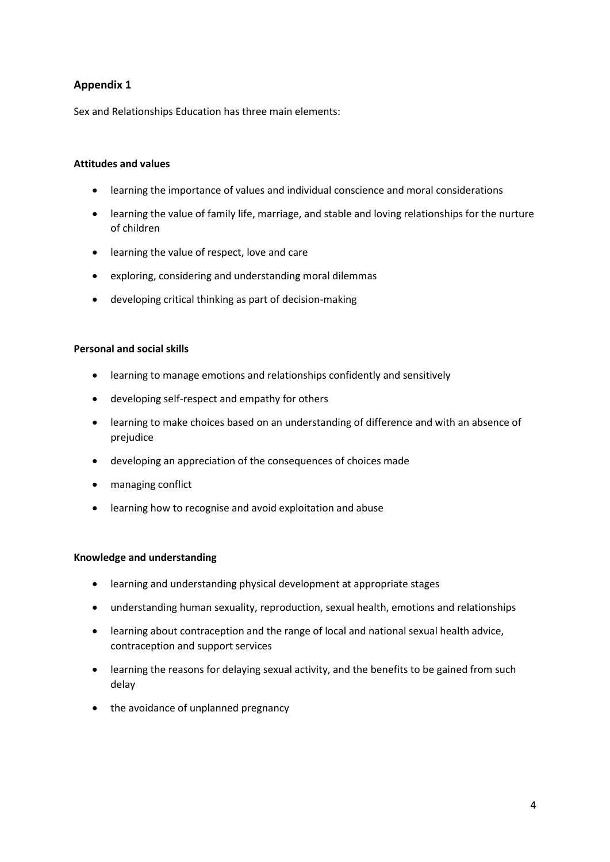#### **Appendix 1**

Sex and Relationships Education has three main elements:

#### **Attitudes and values**

- learning the importance of values and individual conscience and moral considerations
- learning the value of family life, marriage, and stable and loving relationships for the nurture of children
- learning the value of respect, love and care
- exploring, considering and understanding moral dilemmas
- developing critical thinking as part of decision-making

#### **Personal and social skills**

- learning to manage emotions and relationships confidently and sensitively
- developing self-respect and empathy for others
- learning to make choices based on an understanding of difference and with an absence of prejudice
- developing an appreciation of the consequences of choices made
- managing conflict
- learning how to recognise and avoid exploitation and abuse

#### **Knowledge and understanding**

- learning and understanding physical development at appropriate stages
- understanding human sexuality, reproduction, sexual health, emotions and relationships
- learning about contraception and the range of local and national sexual health advice, contraception and support services
- learning the reasons for delaying sexual activity, and the benefits to be gained from such delay
- the avoidance of unplanned pregnancy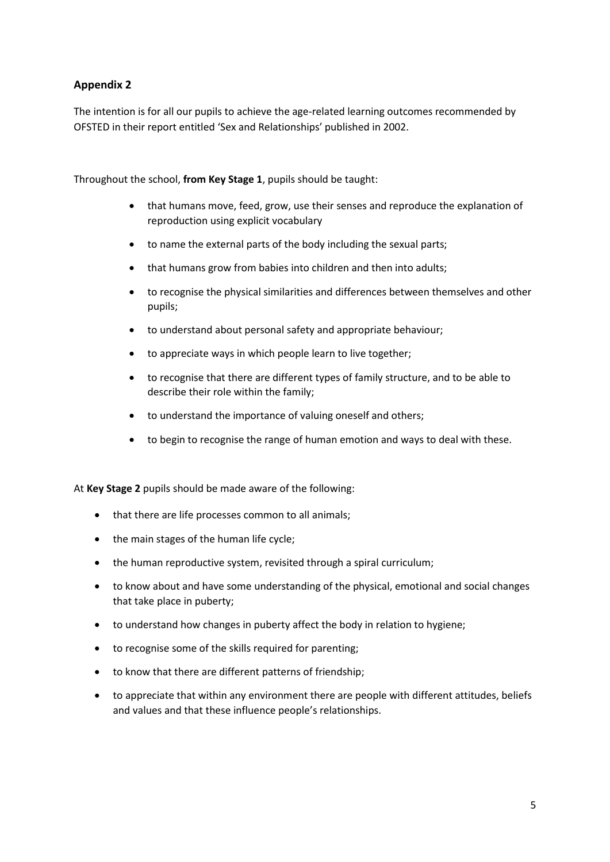#### **Appendix 2**

The intention is for all our pupils to achieve the age-related learning outcomes recommended by OFSTED in their report entitled 'Sex and Relationships' published in 2002.

Throughout the school, **from Key Stage 1**, pupils should be taught:

- that humans move, feed, grow, use their senses and reproduce the explanation of reproduction using explicit vocabulary
- to name the external parts of the body including the sexual parts;
- that humans grow from babies into children and then into adults;
- to recognise the physical similarities and differences between themselves and other pupils;
- to understand about personal safety and appropriate behaviour;
- to appreciate ways in which people learn to live together;
- to recognise that there are different types of family structure, and to be able to describe their role within the family;
- to understand the importance of valuing oneself and others;
- to begin to recognise the range of human emotion and ways to deal with these.

At **Key Stage 2** pupils should be made aware of the following:

- that there are life processes common to all animals;
- the main stages of the human life cycle;
- the human reproductive system, revisited through a spiral curriculum;
- to know about and have some understanding of the physical, emotional and social changes that take place in puberty;
- to understand how changes in puberty affect the body in relation to hygiene;
- to recognise some of the skills required for parenting;
- to know that there are different patterns of friendship;
- to appreciate that within any environment there are people with different attitudes, beliefs and values and that these influence people's relationships.